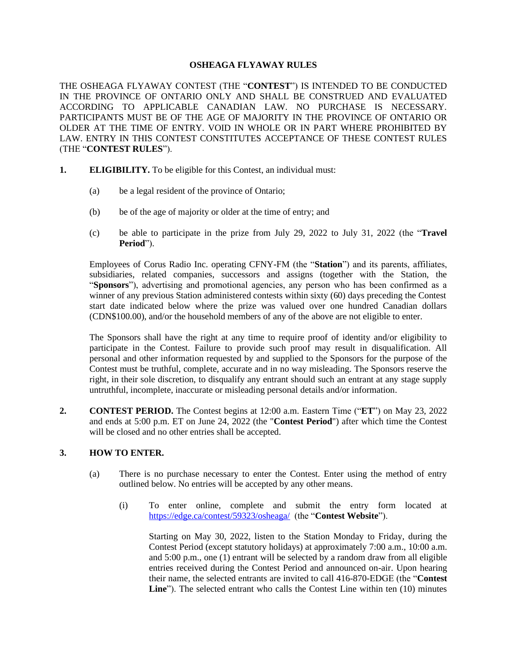## **OSHEAGA FLYAWAY RULES**

THE OSHEAGA FLYAWAY CONTEST (THE "**CONTEST**") IS INTENDED TO BE CONDUCTED IN THE PROVINCE OF ONTARIO ONLY AND SHALL BE CONSTRUED AND EVALUATED ACCORDING TO APPLICABLE CANADIAN LAW. NO PURCHASE IS NECESSARY. PARTICIPANTS MUST BE OF THE AGE OF MAJORITY IN THE PROVINCE OF ONTARIO OR OLDER AT THE TIME OF ENTRY. VOID IN WHOLE OR IN PART WHERE PROHIBITED BY LAW. ENTRY IN THIS CONTEST CONSTITUTES ACCEPTANCE OF THESE CONTEST RULES (THE "**CONTEST RULES**").

- **1. ELIGIBILITY.** To be eligible for this Contest, an individual must:
	- (a) be a legal resident of the province of Ontario;
	- (b) be of the age of majority or older at the time of entry; and
	- (c) be able to participate in the prize from July 29, 2022 to July 31, 2022 (the "**Travel Period**").

Employees of Corus Radio Inc. operating CFNY-FM (the "**Station**") and its parents, affiliates, subsidiaries, related companies, successors and assigns (together with the Station, the "**Sponsors**"), advertising and promotional agencies, any person who has been confirmed as a winner of any previous Station administered contests within sixty (60) days preceding the Contest start date indicated below where the prize was valued over one hundred Canadian dollars (CDN\$100.00), and/or the household members of any of the above are not eligible to enter.

The Sponsors shall have the right at any time to require proof of identity and/or eligibility to participate in the Contest. Failure to provide such proof may result in disqualification. All personal and other information requested by and supplied to the Sponsors for the purpose of the Contest must be truthful, complete, accurate and in no way misleading. The Sponsors reserve the right, in their sole discretion, to disqualify any entrant should such an entrant at any stage supply untruthful, incomplete, inaccurate or misleading personal details and/or information.

**2. CONTEST PERIOD.** The Contest begins at 12:00 a.m. Eastern Time ("**ET**") on May 23, 2022 and ends at 5:00 p.m. ET on June 24, 2022 (the "**Contest Period**") after which time the Contest will be closed and no other entries shall be accepted.

# **3. HOW TO ENTER.**

- (a) There is no purchase necessary to enter the Contest. Enter using the method of entry outlined below. No entries will be accepted by any other means.
	- (i) To enter online, complete and submit the entry form located at <https://edge.ca/contest/59323/osheaga/> (the "**Contest Website**").

Starting on May 30, 2022, listen to the Station Monday to Friday, during the Contest Period (except statutory holidays) at approximately 7:00 a.m., 10:00 a.m. and 5:00 p.m., one (1) entrant will be selected by a random draw from all eligible entries received during the Contest Period and announced on-air. Upon hearing their name, the selected entrants are invited to call 416-870-EDGE (the "**Contest Line**"). The selected entrant who calls the Contest Line within ten (10) minutes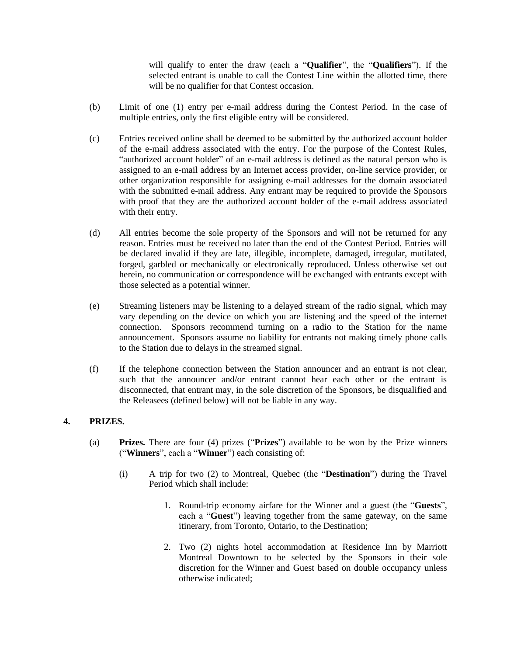will qualify to enter the draw (each a "**Qualifier**", the "**Qualifiers**"). If the selected entrant is unable to call the Contest Line within the allotted time, there will be no qualifier for that Contest occasion.

- (b) Limit of one (1) entry per e-mail address during the Contest Period. In the case of multiple entries, only the first eligible entry will be considered.
- (c) Entries received online shall be deemed to be submitted by the authorized account holder of the e-mail address associated with the entry. For the purpose of the Contest Rules, "authorized account holder" of an e-mail address is defined as the natural person who is assigned to an e-mail address by an Internet access provider, on-line service provider, or other organization responsible for assigning e-mail addresses for the domain associated with the submitted e-mail address. Any entrant may be required to provide the Sponsors with proof that they are the authorized account holder of the e-mail address associated with their entry.
- (d) All entries become the sole property of the Sponsors and will not be returned for any reason. Entries must be received no later than the end of the Contest Period. Entries will be declared invalid if they are late, illegible, incomplete, damaged, irregular, mutilated, forged, garbled or mechanically or electronically reproduced. Unless otherwise set out herein, no communication or correspondence will be exchanged with entrants except with those selected as a potential winner.
- (e) Streaming listeners may be listening to a delayed stream of the radio signal, which may vary depending on the device on which you are listening and the speed of the internet connection. Sponsors recommend turning on a radio to the Station for the name announcement. Sponsors assume no liability for entrants not making timely phone calls to the Station due to delays in the streamed signal.
- (f) If the telephone connection between the Station announcer and an entrant is not clear, such that the announcer and/or entrant cannot hear each other or the entrant is disconnected, that entrant may, in the sole discretion of the Sponsors, be disqualified and the Releasees (defined below) will not be liable in any way.

# **4. PRIZES.**

- (a) **Prizes.** There are four (4) prizes ("**Prizes**") available to be won by the Prize winners ("**Winners**", each a "**Winner**") each consisting of:
	- (i) A trip for two (2) to Montreal, Quebec (the "**Destination**") during the Travel Period which shall include:
		- 1. Round-trip economy airfare for the Winner and a guest (the "**Guests**", each a "**Guest**") leaving together from the same gateway, on the same itinerary, from Toronto, Ontario, to the Destination;
		- 2. Two (2) nights hotel accommodation at Residence Inn by Marriott Montreal Downtown to be selected by the Sponsors in their sole discretion for the Winner and Guest based on double occupancy unless otherwise indicated;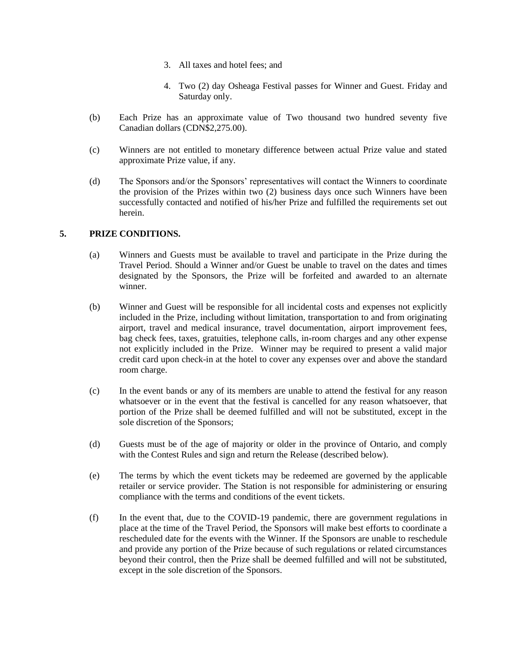- 3. All taxes and hotel fees; and
- 4. Two (2) day Osheaga Festival passes for Winner and Guest. Friday and Saturday only.
- (b) Each Prize has an approximate value of Two thousand two hundred seventy five Canadian dollars (CDN\$2,275.00).
- (c) Winners are not entitled to monetary difference between actual Prize value and stated approximate Prize value, if any.
- (d) The Sponsors and/or the Sponsors' representatives will contact the Winners to coordinate the provision of the Prizes within two (2) business days once such Winners have been successfully contacted and notified of his/her Prize and fulfilled the requirements set out herein.

# **5. PRIZE CONDITIONS.**

- (a) Winners and Guests must be available to travel and participate in the Prize during the Travel Period. Should a Winner and/or Guest be unable to travel on the dates and times designated by the Sponsors, the Prize will be forfeited and awarded to an alternate winner.
- (b) Winner and Guest will be responsible for all incidental costs and expenses not explicitly included in the Prize, including without limitation, transportation to and from originating airport, travel and medical insurance, travel documentation, airport improvement fees, bag check fees, taxes, gratuities, telephone calls, in-room charges and any other expense not explicitly included in the Prize. Winner may be required to present a valid major credit card upon check-in at the hotel to cover any expenses over and above the standard room charge.
- (c) In the event bands or any of its members are unable to attend the festival for any reason whatsoever or in the event that the festival is cancelled for any reason whatsoever, that portion of the Prize shall be deemed fulfilled and will not be substituted, except in the sole discretion of the Sponsors;
- (d) Guests must be of the age of majority or older in the province of Ontario, and comply with the Contest Rules and sign and return the Release (described below).
- (e) The terms by which the event tickets may be redeemed are governed by the applicable retailer or service provider. The Station is not responsible for administering or ensuring compliance with the terms and conditions of the event tickets.
- (f) In the event that, due to the COVID-19 pandemic, there are government regulations in place at the time of the Travel Period, the Sponsors will make best efforts to coordinate a rescheduled date for the events with the Winner. If the Sponsors are unable to reschedule and provide any portion of the Prize because of such regulations or related circumstances beyond their control, then the Prize shall be deemed fulfilled and will not be substituted, except in the sole discretion of the Sponsors.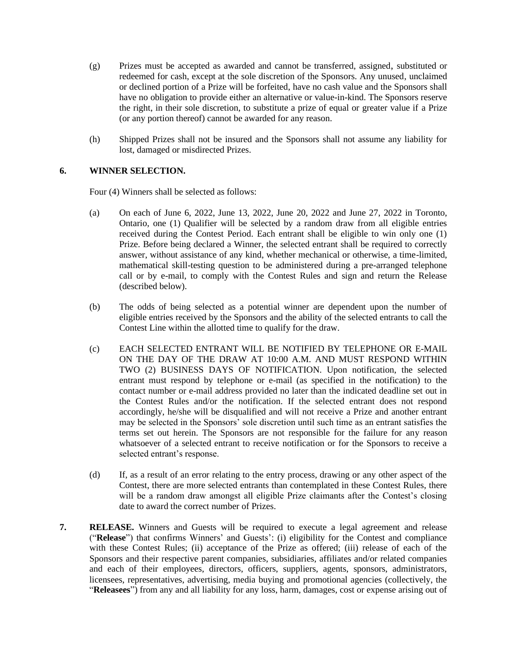- (g) Prizes must be accepted as awarded and cannot be transferred, assigned, substituted or redeemed for cash, except at the sole discretion of the Sponsors. Any unused, unclaimed or declined portion of a Prize will be forfeited, have no cash value and the Sponsors shall have no obligation to provide either an alternative or value-in-kind. The Sponsors reserve the right, in their sole discretion, to substitute a prize of equal or greater value if a Prize (or any portion thereof) cannot be awarded for any reason.
- (h) Shipped Prizes shall not be insured and the Sponsors shall not assume any liability for lost, damaged or misdirected Prizes.

# **6. WINNER SELECTION.**

Four (4) Winners shall be selected as follows:

- (a) On each of June 6, 2022, June 13, 2022, June 20, 2022 and June 27, 2022 in Toronto, Ontario, one (1) Qualifier will be selected by a random draw from all eligible entries received during the Contest Period. Each entrant shall be eligible to win only one (1) Prize. Before being declared a Winner, the selected entrant shall be required to correctly answer, without assistance of any kind, whether mechanical or otherwise, a time-limited, mathematical skill-testing question to be administered during a pre-arranged telephone call or by e-mail, to comply with the Contest Rules and sign and return the Release (described below).
- (b) The odds of being selected as a potential winner are dependent upon the number of eligible entries received by the Sponsors and the ability of the selected entrants to call the Contest Line within the allotted time to qualify for the draw.
- (c) EACH SELECTED ENTRANT WILL BE NOTIFIED BY TELEPHONE OR E-MAIL ON THE DAY OF THE DRAW AT 10:00 A.M. AND MUST RESPOND WITHIN TWO (2) BUSINESS DAYS OF NOTIFICATION. Upon notification, the selected entrant must respond by telephone or e-mail (as specified in the notification) to the contact number or e-mail address provided no later than the indicated deadline set out in the Contest Rules and/or the notification. If the selected entrant does not respond accordingly, he/she will be disqualified and will not receive a Prize and another entrant may be selected in the Sponsors' sole discretion until such time as an entrant satisfies the terms set out herein. The Sponsors are not responsible for the failure for any reason whatsoever of a selected entrant to receive notification or for the Sponsors to receive a selected entrant's response.
- (d) If, as a result of an error relating to the entry process, drawing or any other aspect of the Contest, there are more selected entrants than contemplated in these Contest Rules, there will be a random draw amongst all eligible Prize claimants after the Contest's closing date to award the correct number of Prizes.
- **7. RELEASE.** Winners and Guests will be required to execute a legal agreement and release ("**Release**") that confirms Winners' and Guests': (i) eligibility for the Contest and compliance with these Contest Rules; (ii) acceptance of the Prize as offered; (iii) release of each of the Sponsors and their respective parent companies, subsidiaries, affiliates and/or related companies and each of their employees, directors, officers, suppliers, agents, sponsors, administrators, licensees, representatives, advertising, media buying and promotional agencies (collectively, the "**Releasees**") from any and all liability for any loss, harm, damages, cost or expense arising out of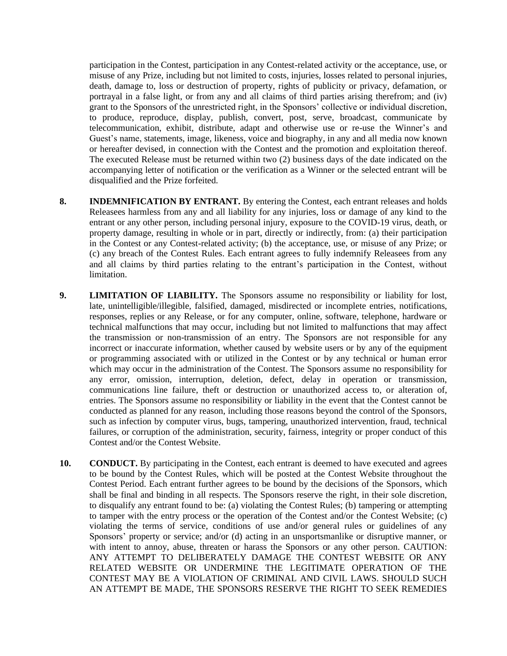participation in the Contest, participation in any Contest-related activity or the acceptance, use, or misuse of any Prize, including but not limited to costs, injuries, losses related to personal injuries, death, damage to, loss or destruction of property, rights of publicity or privacy, defamation, or portrayal in a false light, or from any and all claims of third parties arising therefrom; and (iv) grant to the Sponsors of the unrestricted right, in the Sponsors' collective or individual discretion, to produce, reproduce, display, publish, convert, post, serve, broadcast, communicate by telecommunication, exhibit, distribute, adapt and otherwise use or re-use the Winner's and Guest's name, statements, image, likeness, voice and biography, in any and all media now known or hereafter devised, in connection with the Contest and the promotion and exploitation thereof. The executed Release must be returned within two (2) business days of the date indicated on the accompanying letter of notification or the verification as a Winner or the selected entrant will be disqualified and the Prize forfeited.

- **8. INDEMNIFICATION BY ENTRANT.** By entering the Contest, each entrant releases and holds Releasees harmless from any and all liability for any injuries, loss or damage of any kind to the entrant or any other person, including personal injury, exposure to the COVID-19 virus, death, or property damage, resulting in whole or in part, directly or indirectly, from: (a) their participation in the Contest or any Contest-related activity; (b) the acceptance, use, or misuse of any Prize; or (c) any breach of the Contest Rules. Each entrant agrees to fully indemnify Releasees from any and all claims by third parties relating to the entrant's participation in the Contest, without limitation.
- **9. LIMITATION OF LIABILITY.** The Sponsors assume no responsibility or liability for lost, late, unintelligible/illegible, falsified, damaged, misdirected or incomplete entries, notifications, responses, replies or any Release, or for any computer, online, software, telephone, hardware or technical malfunctions that may occur, including but not limited to malfunctions that may affect the transmission or non-transmission of an entry. The Sponsors are not responsible for any incorrect or inaccurate information, whether caused by website users or by any of the equipment or programming associated with or utilized in the Contest or by any technical or human error which may occur in the administration of the Contest. The Sponsors assume no responsibility for any error, omission, interruption, deletion, defect, delay in operation or transmission, communications line failure, theft or destruction or unauthorized access to, or alteration of, entries. The Sponsors assume no responsibility or liability in the event that the Contest cannot be conducted as planned for any reason, including those reasons beyond the control of the Sponsors, such as infection by computer virus, bugs, tampering, unauthorized intervention, fraud, technical failures, or corruption of the administration, security, fairness, integrity or proper conduct of this Contest and/or the Contest Website.
- **10. CONDUCT.** By participating in the Contest, each entrant is deemed to have executed and agrees to be bound by the Contest Rules, which will be posted at the Contest Website throughout the Contest Period. Each entrant further agrees to be bound by the decisions of the Sponsors, which shall be final and binding in all respects. The Sponsors reserve the right, in their sole discretion, to disqualify any entrant found to be: (a) violating the Contest Rules; (b) tampering or attempting to tamper with the entry process or the operation of the Contest and/or the Contest Website; (c) violating the terms of service, conditions of use and/or general rules or guidelines of any Sponsors' property or service; and/or (d) acting in an unsportsmanlike or disruptive manner, or with intent to annoy, abuse, threaten or harass the Sponsors or any other person. CAUTION: ANY ATTEMPT TO DELIBERATELY DAMAGE THE CONTEST WEBSITE OR ANY RELATED WEBSITE OR UNDERMINE THE LEGITIMATE OPERATION OF THE CONTEST MAY BE A VIOLATION OF CRIMINAL AND CIVIL LAWS. SHOULD SUCH AN ATTEMPT BE MADE, THE SPONSORS RESERVE THE RIGHT TO SEEK REMEDIES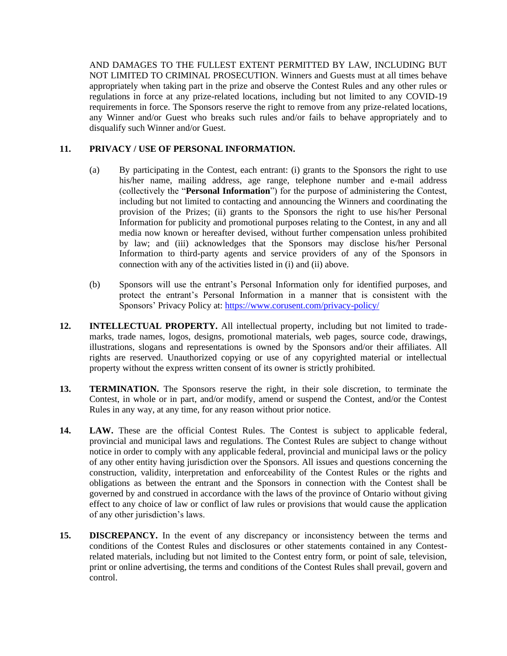AND DAMAGES TO THE FULLEST EXTENT PERMITTED BY LAW, INCLUDING BUT NOT LIMITED TO CRIMINAL PROSECUTION. Winners and Guests must at all times behave appropriately when taking part in the prize and observe the Contest Rules and any other rules or regulations in force at any prize-related locations, including but not limited to any COVID-19 requirements in force. The Sponsors reserve the right to remove from any prize-related locations, any Winner and/or Guest who breaks such rules and/or fails to behave appropriately and to disqualify such Winner and/or Guest.

# **11. PRIVACY / USE OF PERSONAL INFORMATION.**

- (a) By participating in the Contest, each entrant: (i) grants to the Sponsors the right to use his/her name, mailing address, age range, telephone number and e-mail address (collectively the "**Personal Information**") for the purpose of administering the Contest, including but not limited to contacting and announcing the Winners and coordinating the provision of the Prizes; (ii) grants to the Sponsors the right to use his/her Personal Information for publicity and promotional purposes relating to the Contest, in any and all media now known or hereafter devised, without further compensation unless prohibited by law; and (iii) acknowledges that the Sponsors may disclose his/her Personal Information to third-party agents and service providers of any of the Sponsors in connection with any of the activities listed in (i) and (ii) above.
- (b) Sponsors will use the entrant's Personal Information only for identified purposes, and protect the entrant's Personal Information in a manner that is consistent with the Sponsors' Privacy Policy at: <https://www.corusent.com/privacy-policy/>
- **12. INTELLECTUAL PROPERTY.** All intellectual property, including but not limited to trademarks, trade names, logos, designs, promotional materials, web pages, source code, drawings, illustrations, slogans and representations is owned by the Sponsors and/or their affiliates. All rights are reserved. Unauthorized copying or use of any copyrighted material or intellectual property without the express written consent of its owner is strictly prohibited.
- **13. TERMINATION.** The Sponsors reserve the right, in their sole discretion, to terminate the Contest, in whole or in part, and/or modify, amend or suspend the Contest, and/or the Contest Rules in any way, at any time, for any reason without prior notice.
- **14. LAW.** These are the official Contest Rules. The Contest is subject to applicable federal, provincial and municipal laws and regulations. The Contest Rules are subject to change without notice in order to comply with any applicable federal, provincial and municipal laws or the policy of any other entity having jurisdiction over the Sponsors. All issues and questions concerning the construction, validity, interpretation and enforceability of the Contest Rules or the rights and obligations as between the entrant and the Sponsors in connection with the Contest shall be governed by and construed in accordance with the laws of the province of Ontario without giving effect to any choice of law or conflict of law rules or provisions that would cause the application of any other jurisdiction's laws.
- **15. DISCREPANCY.** In the event of any discrepancy or inconsistency between the terms and conditions of the Contest Rules and disclosures or other statements contained in any Contestrelated materials, including but not limited to the Contest entry form, or point of sale, television, print or online advertising, the terms and conditions of the Contest Rules shall prevail, govern and control.